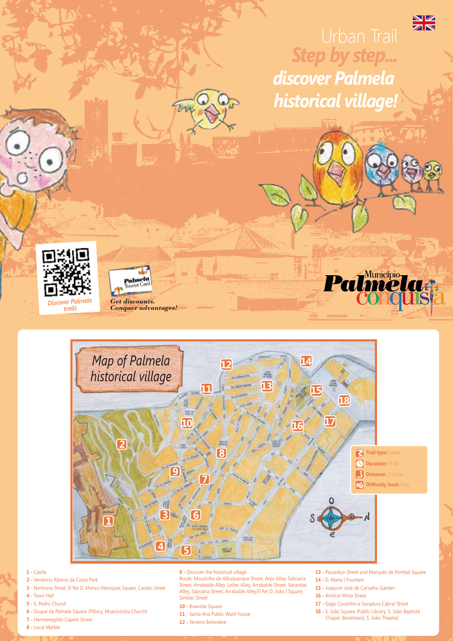

## **1 -** Castle

- **2** Venâncio Ribeiro da Costa Park
- **3** Nenhures Street, El Rei D. Afonso Henriques Square, Castelo Street
- **4** Town Hall
- **5 -** S. Pedro Church
- **6** Duque de Palmela Square (Pillory, Misericórdia Church)
- **7** Hermenegildo Capelo Street
- **8** Local Market

**9 -** Discover the historical village

Route: Mouzinho de Albuquerque Street, Anjo Alley. Saboaria Street, Arrabalde Alley. Leões Alley, Arrabalde Street, Varandas Alley, Saboaria Street, Arrabalde Alley,El Rei D. João I Square, Simões Street.

- **10** Boavista Square
- **11** Santa Ana Public Wash house
- **12** Terreiro Belvedere
- **13** Passadiço Street and Marquês de Pombal Square
- **14** D. Maria I Fountain
- **15** Joaquim José de Carvalho Garden
- **16** Amílcar Mota Street
- **17** Gago Coutinho e Sacadura Cabral Street
- **18 -** S. João Square (Public Library, S. João Baptista Chapel, Bandstand, S. João Theatre)